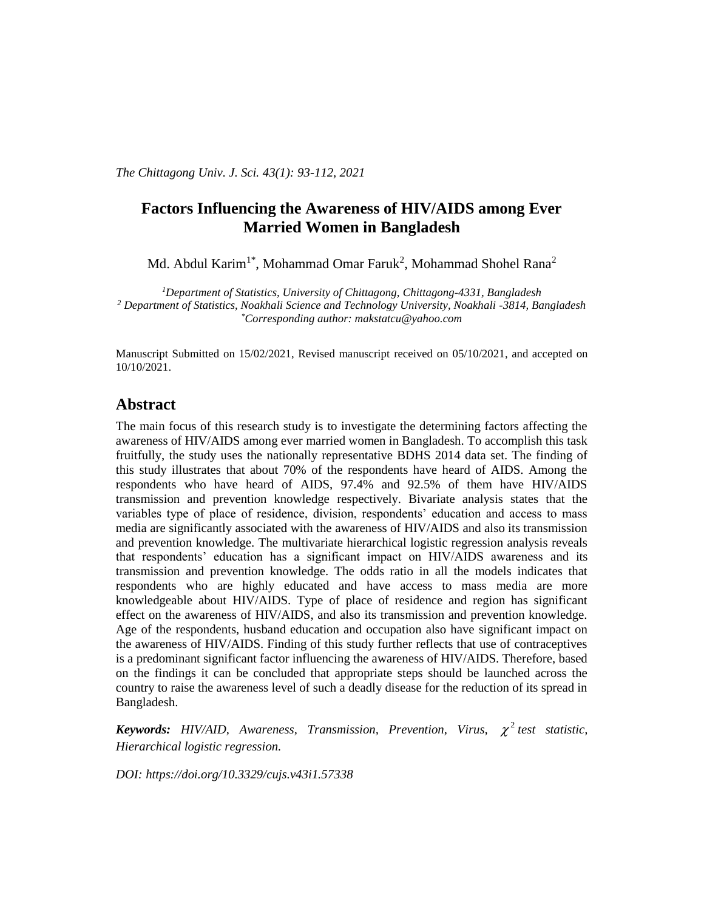*The Chittagong Univ. J. Sci. 43(1): 93-112, 2021*

# **Factors Influencing the Awareness of HIV/AIDS among Ever Married Women in Bangladesh**

Md. Abdul Karim<sup>1\*</sup>, Mohammad Omar Faruk<sup>2</sup>, Mohammad Shohel Rana<sup>2</sup>

*<sup>1</sup>Department of Statistics, University of Chittagong, Chittagong-4331, Bangladesh <sup>2</sup> Department of Statistics, Noakhali Science and Technology University, Noakhali -3814, Bangladesh \*Corresponding author: makstatcu@yahoo.com*

Manuscript Submitted on 15/02/2021, Revised manuscript received on 05/10/2021, and accepted on 10/10/2021.

### **Abstract**

The main focus of this research study is to investigate the determining factors affecting the awareness of HIV/AIDS among ever married women in Bangladesh. To accomplish this task fruitfully, the study uses the nationally representative BDHS 2014 data set. The finding of this study illustrates that about 70% of the respondents have heard of AIDS. Among the respondents who have heard of AIDS, 97.4% and 92.5% of them have HIV/AIDS transmission and prevention knowledge respectively. Bivariate analysis states that the variables type of place of residence, division, respondents' education and access to mass media are significantly associated with the awareness of HIV/AIDS and also its transmission and prevention knowledge. The multivariate hierarchical logistic regression analysis reveals that respondents' education has a significant impact on HIV/AIDS awareness and its transmission and prevention knowledge. The odds ratio in all the models indicates that respondents who are highly educated and have access to mass media are more knowledgeable about HIV/AIDS. Type of place of residence and region has significant effect on the awareness of HIV/AIDS, and also its transmission and prevention knowledge. Age of the respondents, husband education and occupation also have significant impact on the awareness of HIV/AIDS. Finding of this study further reflects that use of contraceptives is a predominant significant factor influencing the awareness of HIV/AIDS. Therefore, based on the findings it can be concluded that appropriate steps should be launched across the country to raise the awareness level of such a deadly disease for the reduction of its spread in Bangladesh.

*Keywords: HIV/AID, Awareness, Transmission, Prevention, Virus,*  $\chi^2$  *test statistic, Hierarchical logistic regression.*

*DOI:<https://doi.org/10.3329/cujs.v43i1.57338>*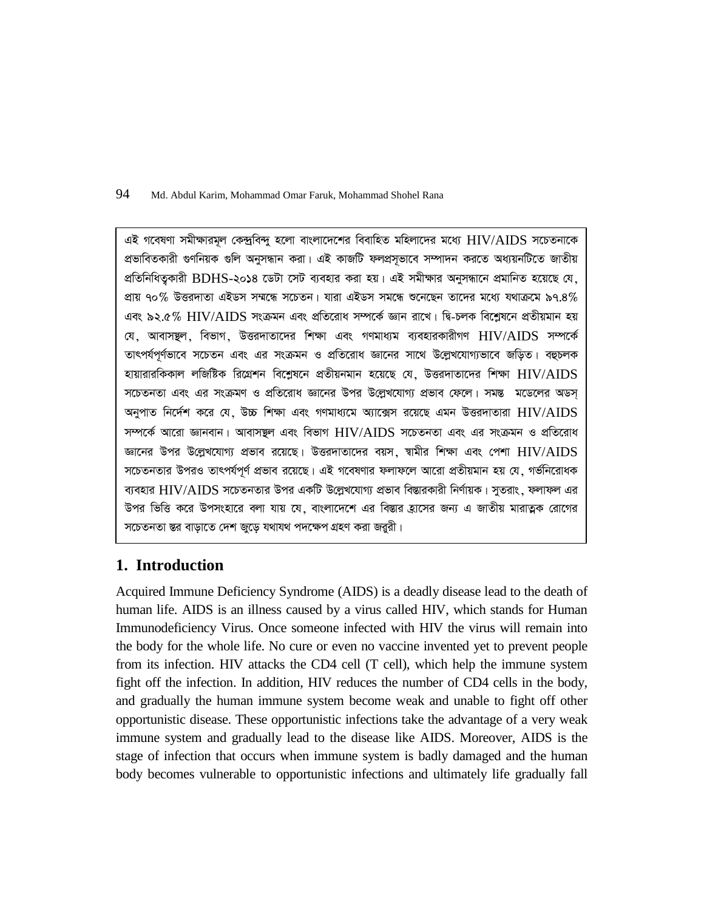এই গবেষণা সমীক্ষারমূল কেন্দ্রবিন্দু হলো বাংলাদেশের বিবাহিত মহিলাদের মধ্যে  $\rm HIV/ALDS$  সচেতনাকে প্রভাবিতকারী গুণনিয়ক গুলি অনুসন্ধান করা। এই কাজটি ফলপ্রসৃভাবে সম্পাদন করতে অধ্যয়নটিতে জাতীয় প্রতিনিধিত্বকারী BDHS-২০১৪ ডেটা সেট ব্যবহার করা হয়। এই সমীক্ষার অনুসন্ধানে প্রমানিত হয়েছে যে, প্রায় ৭০% উত্তরদাতা এইডস সম্মন্ধে সচেতন। যারা এইডস সমন্ধে শুনেছেন তাদের মধ্যে যথাক্রমে ৯৭.৪% এবং ৯২.৫%  $\rm HIV/ALDS$  সংক্রমন এবং প্রতিরোধ সম্পর্কে জ্ঞান রাখে। দ্বি-চলক বিশ্লেষনে প্রতীয়মান হয় যে, আবাসম্থল, বিভাগ, উত্তরদাতাদের শিক্ষা এবং গণমাধ্যম ব্যবহারকারীগণ  $\rm{HIV/ALDS}$  সম্পর্কে তাৎপর্যপূর্ণভাবে সচেতন এবং এর সংক্রমন ও প্রতিরোধ জ্ঞানের সাথে উল্লেখযোগ্যভাবে জড়িত। বহুচলক হায়ারারকিকাল লজিষ্টিক রিগ্রেশন বিশ্লেষনে প্রতীয়নমান হয়েছে যে, উত্তরদাতাদের শিক্ষা  $\rm HIV/ALDS$ সচেতনতা এবং এর সংক্রমণ ও প্রতিরোধ জ্ঞানের উপর উল্লেখযোগ্য প্রভাব ফেলে। সমন্ত মডেলের অডস অনুপাত নির্দেশ করে যে, উচ্চ শিক্ষা এবং গণমাধ্যমে অ্যাক্সেস রয়েছে এমন উত্তরদাতারা  $\rm HIV/ALDS$ সম্পৰ্কে আরো জ্ঞানবান। আবাসম্বল এবং বিভাগ  $\rm HIV/ALDS$  সচেতনতা এবং এর সংক্রমন ও প্রতিরোধ জ্ঞানের উপর উল্লেখযোগ্য প্রভাব রয়েছে। উত্তরদাতাদের বয়স, স্বামীর শিক্ষা এবং পেশা  $\rm HIV/ALDS$ সচেতনতার উপরও তাৎপর্যপূর্ণ প্রভাব রয়েছে। এই গবেষণার ফলাফলে আরো প্রতীয়মান হয় যে, গর্ভনিরোধক ব্যবহার  $\rm{HIV/ALDS}$  সচেতনতার উপর একটি উল্লেখযোগ্য প্রভাব বিস্তারকারী নির্ণায়ক। সূতরাং, ফলাফল এর উপর ভিত্তি করে উপসংহারে বলা যায় যে, বাংলাদেশে এর বিস্তার হ্রাসের জন্য এ জাতীয় মারাত্মক রোগের সচেতনতা স্তর বাড়াতে দেশ জুড়ে যথাযথ পদক্ষেপ গ্রহণ করা জৱরী।

# **1. Introduction**

Acquired Immune Deficiency Syndrome (AIDS) is a deadly disease lead to the death of human life. AIDS is an illness caused by a virus called HIV, which stands for Human Immunodeficiency Virus. Once someone infected with HIV the virus will remain into the body for the whole life. No cure or even no vaccine invented yet to prevent people from its infection. HIV attacks the CD4 cell (T cell), which help the immune system fight off the infection. In addition, HIV reduces the number of CD4 cells in the body, and gradually the human immune system become weak and unable to fight off other opportunistic disease. These opportunistic infections take the advantage of a very weak immune system and gradually lead to the disease like AIDS. Moreover, AIDS is the stage of infection that occurs when immune system is badly damaged and the human body becomes vulnerable to opportunistic infections and ultimately life gradually fall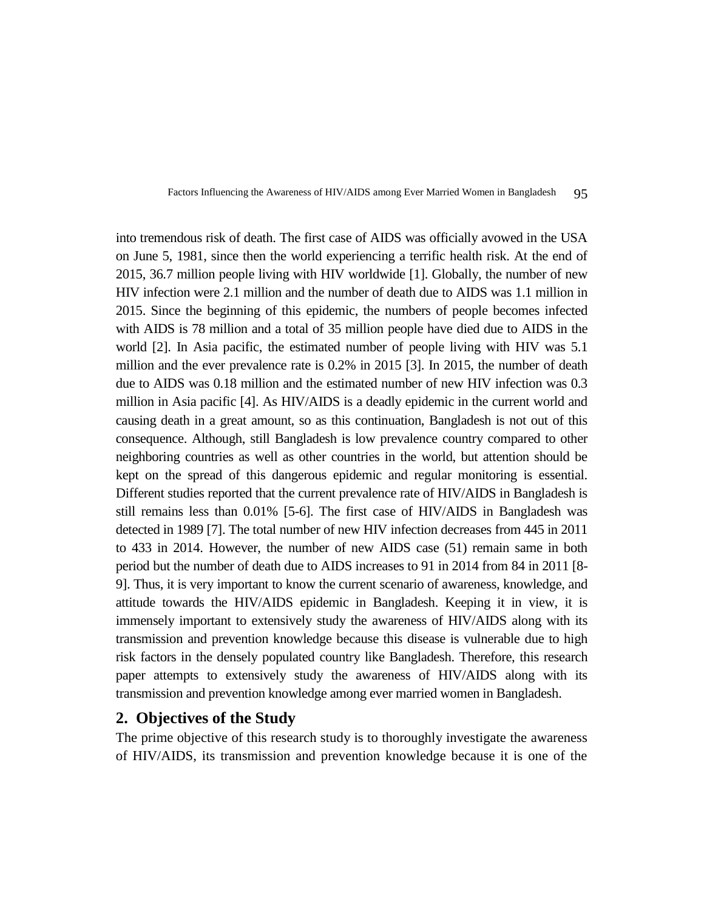

into tremendous risk of death. The first case of AIDS was officially avowed in the USA on June 5, 1981, since then the world experiencing a terrific health risk. At the end of 2015, 36.7 million people living with HIV worldwide [1]. Globally, the number of new HIV infection were 2.1 million and the number of death due to AIDS was 1.1 million in 2015. Since the beginning of this epidemic, the numbers of people becomes infected with AIDS is 78 million and a total of 35 million people have died due to AIDS in the world [2]. In Asia pacific, the estimated number of people living with HIV was 5.1 million and the ever prevalence rate is 0.2% in 2015 [3]. In 2015, the number of death due to AIDS was 0.18 million and the estimated number of new HIV infection was 0.3 million in Asia pacific [4]. As HIV/AIDS is a deadly epidemic in the current world and causing death in a great amount, so as this continuation, Bangladesh is not out of this consequence. Although, still Bangladesh is low prevalence country compared to other neighboring countries as well as other countries in the world, but attention should be kept on the spread of this dangerous epidemic and regular monitoring is essential. Different studies reported that the current prevalence rate of HIV/AIDS in Bangladesh is still remains less than 0.01% [5-6]. The first case of HIV/AIDS in Bangladesh was detected in 1989 [7]. The total number of new HIV infection decreases from 445 in 2011 to 433 in 2014. However, the number of new AIDS case (51) remain same in both period but the number of death due to AIDS increases to 91 in 2014 from 84 in 2011 [8- 9]. Thus, it is very important to know the current scenario of awareness, knowledge, and attitude towards the HIV/AIDS epidemic in Bangladesh. Keeping it in view, it is immensely important to extensively study the awareness of HIV/AIDS along with its transmission and prevention knowledge because this disease is vulnerable due to high risk factors in the densely populated country like Bangladesh. Therefore, this research paper attempts to extensively study the awareness of HIV/AIDS along with its transmission and prevention knowledge among ever married women in Bangladesh.

### **2. Objectives of the Study**

The prime objective of this research study is to thoroughly investigate the awareness of HIV/AIDS, its transmission and prevention knowledge because it is one of the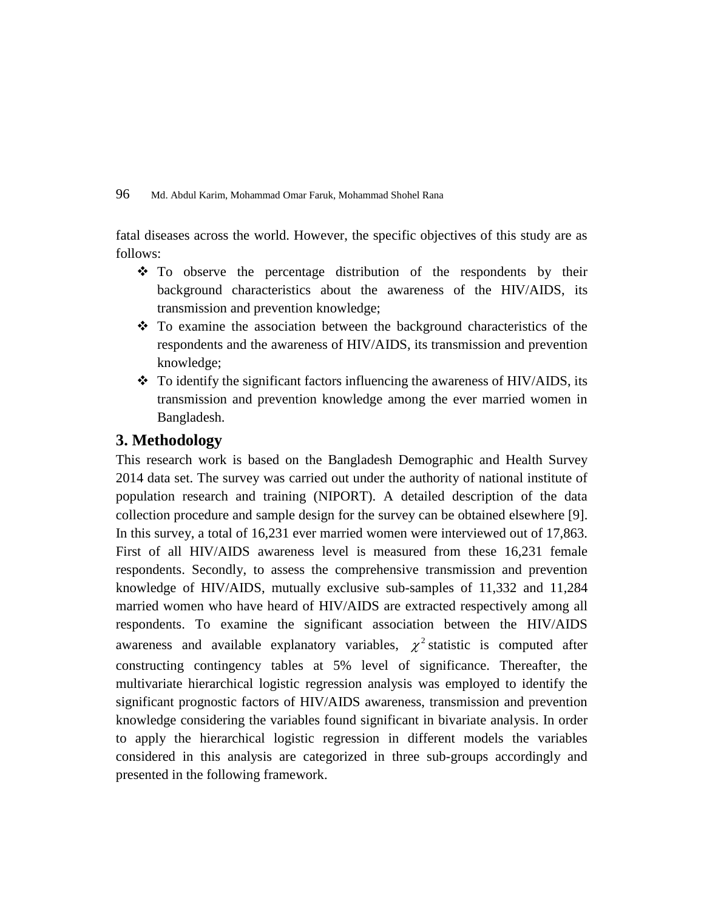fatal diseases across the world. However, the specific objectives of this study are as follows:

- $\div$  To observe the percentage distribution of the respondents by their background characteristics about the awareness of the HIV/AIDS, its transmission and prevention knowledge;
- To examine the association between the background characteristics of the respondents and the awareness of HIV/AIDS, its transmission and prevention knowledge;
- $\div$  To identify the significant factors influencing the awareness of HIV/AIDS, its transmission and prevention knowledge among the ever married women in Bangladesh.

# **3. Methodology**

This research work is based on the Bangladesh Demographic and Health Survey 2014 data set. The survey was carried out under the authority of national institute of population research and training (NIPORT). A detailed description of the data collection procedure and sample design for the survey can be obtained elsewhere [9]. In this survey, a total of 16,231 ever married women were interviewed out of 17,863. First of all HIV/AIDS awareness level is measured from these 16,231 female respondents. Secondly, to assess the comprehensive transmission and prevention knowledge of HIV/AIDS, mutually exclusive sub-samples of 11,332 and 11,284 married women who have heard of HIV/AIDS are extracted respectively among all respondents. To examine the significant association between the HIV/AIDS awareness and available explanatory variables,  $\chi^2$  statistic is computed after constructing contingency tables at 5% level of significance. Thereafter, the multivariate hierarchical logistic regression analysis was employed to identify the significant prognostic factors of HIV/AIDS awareness, transmission and prevention knowledge considering the variables found significant in bivariate analysis. In order to apply the hierarchical logistic regression in different models the variables considered in this analysis are categorized in three sub-groups accordingly and presented in the following framework.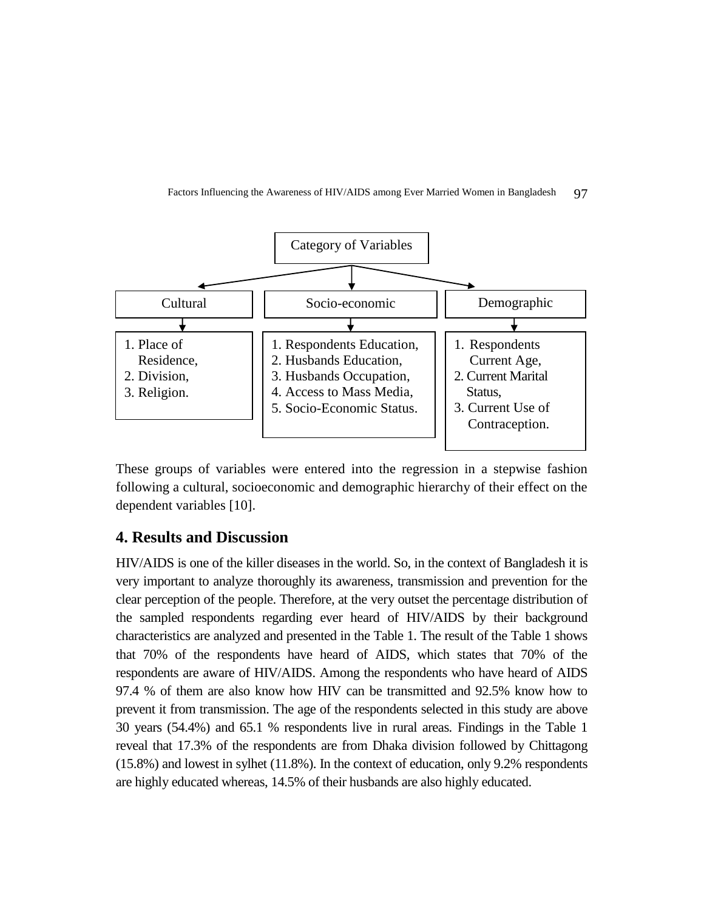

These groups of variables were entered into the regression in a stepwise fashion following a cultural, socioeconomic and demographic hierarchy of their effect on the dependent variables [10].

### **4. Results and Discussion**

HIV/AIDS is one of the killer diseases in the world. So, in the context of Bangladesh it is very important to analyze thoroughly its awareness, transmission and prevention for the clear perception of the people. Therefore, at the very outset the percentage distribution of the sampled respondents regarding ever heard of HIV/AIDS by their background characteristics are analyzed and presented in the Table 1. The result of the Table 1 shows that 70% of the respondents have heard of AIDS, which states that 70% of the respondents are aware of HIV/AIDS. Among the respondents who have heard of AIDS 97.4 % of them are also know how HIV can be transmitted and 92.5% know how to prevent it from transmission. The age of the respondents selected in this study are above 30 years (54.4%) and 65.1 % respondents live in rural areas*.* Findings in the Table 1 reveal that 17.3% of the respondents are from Dhaka division followed by Chittagong (15.8%) and lowest in sylhet (11.8%). In the context of education, only 9.2% respondents are highly educated whereas, 14.5% of their husbands are also highly educated.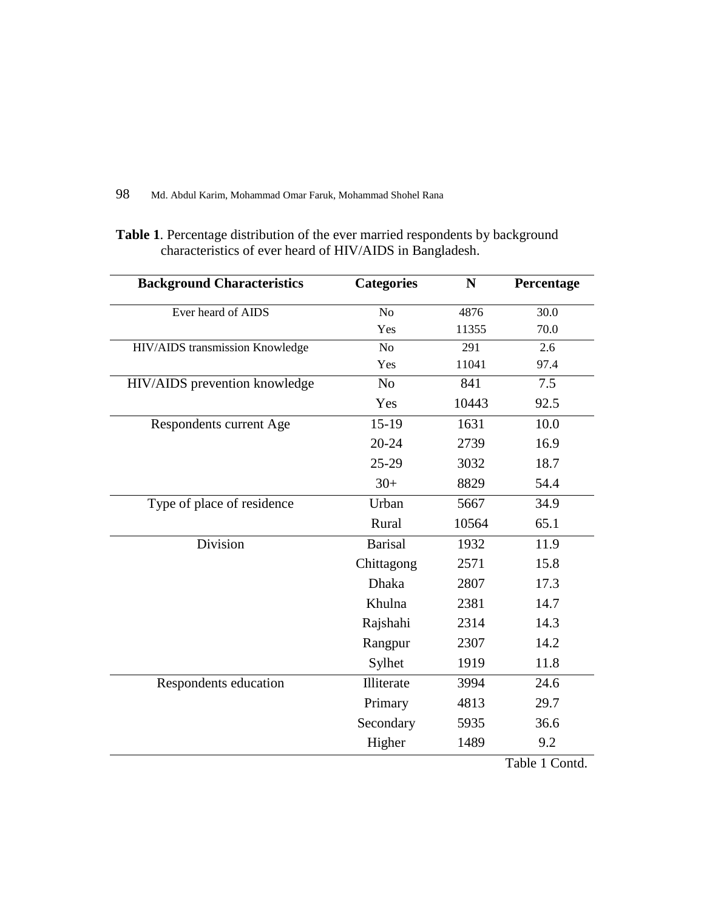**Table 1**. Percentage distribution of the ever married respondents by background characteristics of ever heard of HIV/AIDS in Bangladesh.

| <b>Background Characteristics</b> | <b>Categories</b> | N     | Percentage |
|-----------------------------------|-------------------|-------|------------|
| Ever heard of AIDS                | N <sub>o</sub>    | 4876  | 30.0       |
|                                   | Yes               | 11355 | 70.0       |
| HIV/AIDS transmission Knowledge   | N <sub>o</sub>    | 291   | 2.6        |
|                                   | Yes               | 11041 | 97.4       |
| HIV/AIDS prevention knowledge     | N <sub>0</sub>    | 841   | 7.5        |
|                                   | Yes               | 10443 | 92.5       |
| Respondents current Age           | $15-19$           | 1631  | 10.0       |
|                                   | $20 - 24$         | 2739  | 16.9       |
|                                   | $25-29$           | 3032  | 18.7       |
|                                   | $30+$             | 8829  | 54.4       |
| Type of place of residence        | Urban             | 5667  | 34.9       |
|                                   | Rural             | 10564 | 65.1       |
| Division                          | <b>Barisal</b>    | 1932  | 11.9       |
|                                   | Chittagong        | 2571  | 15.8       |
|                                   | Dhaka             | 2807  | 17.3       |
|                                   | Khulna            | 2381  | 14.7       |
|                                   | Rajshahi          | 2314  | 14.3       |
|                                   | Rangpur           | 2307  | 14.2       |
|                                   | Sylhet            | 1919  | 11.8       |
| Respondents education             | Illiterate        | 3994  | 24.6       |
|                                   | Primary           | 4813  | 29.7       |
|                                   | Secondary         | 5935  | 36.6       |
|                                   | Higher            | 1489  | 9.2        |

Table 1 Contd.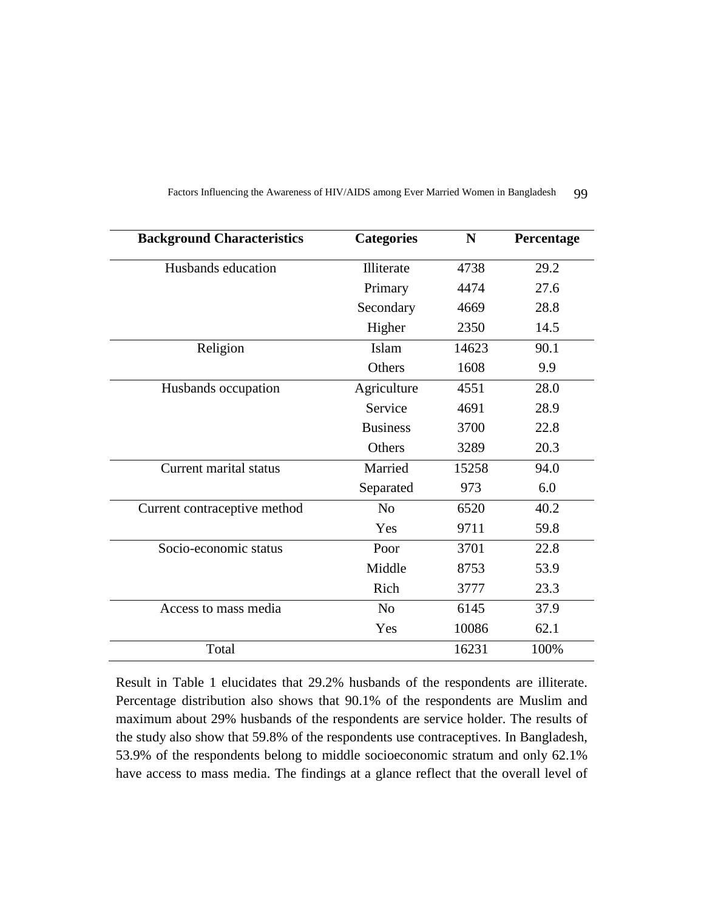| <b>Background Characteristics</b> | <b>Categories</b> | N     | Percentage |
|-----------------------------------|-------------------|-------|------------|
| Husbands education                | Illiterate        | 4738  | 29.2       |
|                                   | Primary           | 4474  | 27.6       |
|                                   | Secondary         | 4669  | 28.8       |
|                                   | Higher            | 2350  | 14.5       |
| Religion                          | Islam             | 14623 | 90.1       |
|                                   | Others            | 1608  | 9.9        |
| Husbands occupation               | Agriculture       | 4551  | 28.0       |
|                                   | Service           | 4691  | 28.9       |
|                                   | <b>Business</b>   | 3700  | 22.8       |
|                                   | Others            | 3289  | 20.3       |
| Current marital status            | Married           | 15258 | 94.0       |
|                                   | Separated         | 973   | 6.0        |
| Current contraceptive method      | N <sub>o</sub>    | 6520  | 40.2       |
|                                   | Yes               | 9711  | 59.8       |
| Socio-economic status             | Poor              | 3701  | 22.8       |
|                                   | Middle            | 8753  | 53.9       |
|                                   | Rich              | 3777  | 23.3       |
| Access to mass media              | N <sub>o</sub>    | 6145  | 37.9       |
|                                   | Yes               | 10086 | 62.1       |
| Total                             |                   | 16231 | 100%       |

Result in Table 1 elucidates that 29.2% husbands of the respondents are illiterate. Percentage distribution also shows that 90.1% of the respondents are Muslim and maximum about 29% husbands of the respondents are service holder. The results of the study also show that 59.8% of the respondents use contraceptives. In Bangladesh, 53.9% of the respondents belong to middle socioeconomic stratum and only 62.1% have access to mass media. The findings at a glance reflect that the overall level of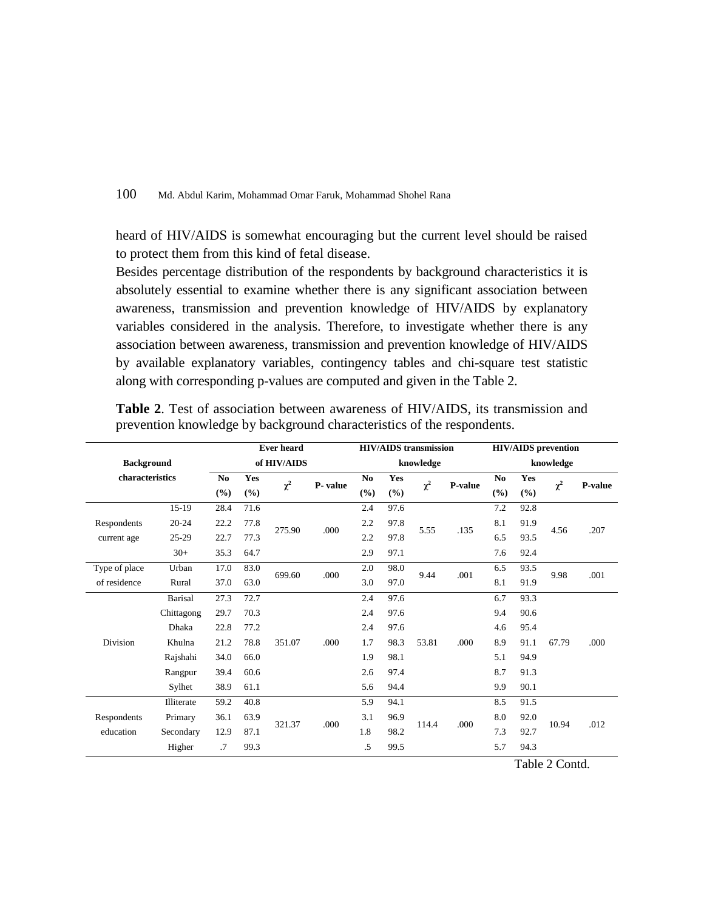heard of HIV/AIDS is somewhat encouraging but the current level should be raised to protect them from this kind of fetal disease.

Besides percentage distribution of the respondents by background characteristics it is absolutely essential to examine whether there is any significant association between awareness, transmission and prevention knowledge of HIV/AIDS by explanatory variables considered in the analysis. Therefore, to investigate whether there is any association between awareness, transmission and prevention knowledge of HIV/AIDS by available explanatory variables, contingency tables and chi-square test statistic along with corresponding p-values are computed and given in the Table 2.

|                   | <b>Ever heard</b> |      |             |             |         | <b>HIV/AIDS</b> transmission |      | <b>HIV/AIDS</b> prevention |               |                |      |          |         |  |
|-------------------|-------------------|------|-------------|-------------|---------|------------------------------|------|----------------------------|---------------|----------------|------|----------|---------|--|
| <b>Background</b> |                   |      |             | of HIV/AIDS |         | knowledge                    |      |                            |               | knowledge      |      |          |         |  |
| characteristics   |                   | No   | Yes         |             | P-value | N <sub>0</sub>               | Yes  |                            |               | N <sub>0</sub> | Yes  |          | P-value |  |
|                   |                   | (%)  | (%)         | $\chi^2$    |         | (9/0)                        | (%)  | $\chi^2$                   | P-value       | (%)            | (%)  | $\chi^2$ |         |  |
|                   | $15-19$           | 28.4 | 71.6        |             |         | 2.4                          | 97.6 |                            |               | 7.2            | 92.8 |          |         |  |
| Respondents       | $20 - 24$         | 22.2 | 77.8        | .000        | 2.2     | 97.8                         |      |                            | 8.1           | 91.9           | 4.56 |          |         |  |
| current age       | 25-29             | 22.7 | 77.3        | 275.90      |         | 2.2                          | 97.8 |                            | 5.55<br>.135  | 6.5            | 93.5 |          | .207    |  |
|                   | $30+$             | 35.3 | 2.9<br>64.7 | 97.1        |         |                              | 7.6  | 92.4                       |               |                |      |          |         |  |
| Type of place     | Urban             | 17.0 | 83.0        | 699.60      |         | .000                         | 2.0  | 98.0                       |               | .001           | 6.5  | 93.5     | 9.98    |  |
| of residence      | Rural             | 37.0 | 63.0        |             |         | 3.0                          | 97.0 | 9.44                       |               | 8.1            | 91.9 |          | .001    |  |
|                   | <b>Barisal</b>    | 27.3 | 72.7        |             |         | 2.4                          | 97.6 |                            |               | 6.7            | 93.3 |          |         |  |
|                   | Chittagong        | 29.7 | 70.3        |             | 2.4     | 97.6                         |      |                            | 9.4           | 90.6           |      |          |         |  |
|                   | Dhaka             | 22.8 | 77.2        |             |         | 2.4                          | 97.6 |                            | 53.81<br>.000 | 4.6            | 95.4 | 67.79    |         |  |
| Division          | Khulna            | 21.2 | 78.8        | 351.07      | .000    | 1.7                          | 98.3 |                            |               | 8.9            | 91.1 |          | .000    |  |
|                   | Rajshahi          | 34.0 | 66.0        |             |         | 1.9                          | 98.1 |                            |               | 5.1            | 94.9 |          |         |  |
|                   | Rangpur           | 39.4 | 60.6        |             |         | 2.6                          | 97.4 |                            |               | 8.7            | 91.3 |          |         |  |
|                   | Sylhet            | 38.9 | 61.1        |             |         | 5.6                          | 94.4 |                            |               | 9.9            | 90.1 |          |         |  |
|                   | Illiterate        | 59.2 | 40.8        |             |         | 5.9                          | 94.1 |                            |               | 8.5            | 91.5 | 10.94    |         |  |
| Respondents       | Primary           | 36.1 | 63.9        | 321.37      | .000    | 3.1                          | 96.9 |                            |               | 8.0            | 92.0 |          |         |  |
| education         | Secondary         | 12.9 | 87.1        |             |         | 1.8                          | 98.2 |                            | .000<br>114.4 | 7.3            | 92.7 |          | .012    |  |
|                   | Higher            | .7   | 99.3        |             |         | .5                           | 99.5 |                            |               | 5.7            | 94.3 |          |         |  |

**Table 2**. Test of association between awareness of HIV/AIDS, its transmission and prevention knowledge by background characteristics of the respondents.

Table 2 Contd.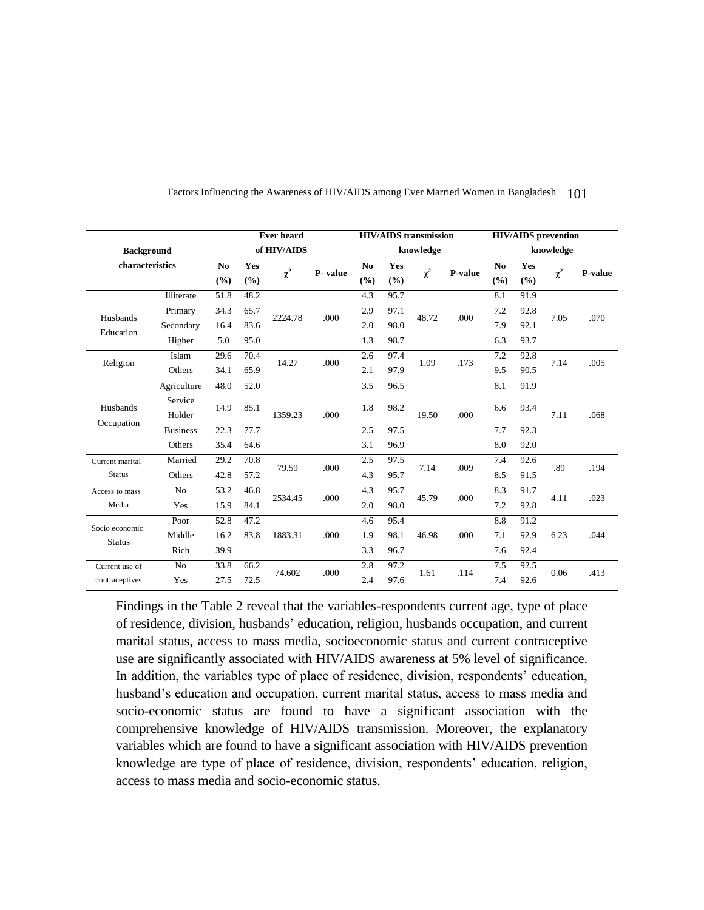|                   |                 | <b>Ever heard</b> |       |                  | <b>HIV/AIDS</b> transmission |      |       |           | <b>HIV/AIDS</b> prevention |                |       |           |         |
|-------------------|-----------------|-------------------|-------|------------------|------------------------------|------|-------|-----------|----------------------------|----------------|-------|-----------|---------|
| <b>Background</b> |                 |                   |       | of HIV/AIDS      |                              |      |       | knowledge |                            |                |       | knowledge |         |
| characteristics   |                 | N <sub>0</sub>    | Yes   | $\chi^2$         | P- value                     | No   | Yes   | $\chi^2$  | <b>P-value</b>             | N <sub>0</sub> | Yes   | $\chi^2$  | P-value |
|                   |                 | (%)               | (9/0) |                  |                              | (%)  | (%)   |           |                            | (%)            | (9/0) |           |         |
|                   | Illiterate      | 51.8              | 48.2  |                  |                              | 4.3  | 95.7  |           |                            | 8.1            | 91.9  |           |         |
| Husbands          | Primary         | 34.3              | 65.7  | 2224.78          | .000                         | 2.9  | 97.1  | 48.72     | .000                       | 7.2            | 92.8  | 7.05      | .070    |
| Education         | Secondary       | 16.4              | 83.6  |                  |                              | 2.0  | 98.0  |           |                            | 7.9            | 92.1  |           |         |
|                   | Higher          | 5.0               | 95.0  |                  |                              | 1.3  | 98.7  |           |                            | 6.3            | 93.7  |           |         |
| Religion          | Islam           | 29.6              | 70.4  | 14.27            | .000                         | 2.6  | 97.4  | 1.09      | .173                       | 7.2            | 92.8  | 7.14      | .005    |
|                   | Others          | 34.1              | 65.9  |                  |                              | 2.1  | 97.9  |           |                            | 9.5            | 90.5  |           |         |
|                   | Agriculture     | 48.0              | 52.0  |                  |                              | 3.5  | 96.5  |           |                            | 8.1            | 91.9  |           |         |
| Husbands          | Service         | 14.9              | 85.1  | 1359.23<br>.000. | 1.8                          | 98.2 |       | .000      | 6.6                        | 93.4           | 7.11  |           |         |
|                   | Holder          |                   |       |                  |                              |      | 19.50 |           |                            |                |       | .068      |         |
| Occupation        | <b>Business</b> | 22.3              | 77.7  |                  |                              | 2.5  | 97.5  |           |                            | 7.7            | 92.3  |           |         |
|                   | Others          | 35.4              | 64.6  |                  |                              | 3.1  | 96.9  |           |                            | 8.0            | 92.0  |           |         |
| Current marital   | Married         | 29.2              | 70.8  | 79.59            | .000                         | 2.5  | 97.5  |           | .009                       | 7.4            | 92.6  | .89       | .194    |
| <b>Status</b>     | Others          | 42.8              | 57.2  |                  |                              | 4.3  | 95.7  | 7.14      |                            | 8.5            | 91.5  |           |         |
| Access to mass    | No              | 53.2              | 46.8  |                  |                              | 4.3  | 95.7  |           |                            | 8.3            | 91.7  |           |         |
| Media             | Yes             | 15.9              | 84.1  | 2534.45          | .000                         | 2.0  | 98.0  | 45.79     | .000                       | 7.2            | 92.8  | 4.11      | .023    |
|                   | Poor            | 52.8              | 47.2  |                  |                              | 4.6  | 95.4  |           |                            | 8.8            | 91.2  |           |         |
| Socio economic    | Middle          | 16.2              | 83.8  | 1883.31          | .000                         | 1.9  | 98.1  | 46.98     | .000                       | 7.1            | 92.9  | 6.23      | .044    |
| <b>Status</b>     | Rich            | 39.9              |       |                  |                              | 3.3  | 96.7  |           |                            | 7.6            | 92.4  |           |         |
| Current use of    | N <sub>o</sub>  | 33.8              | 66.2  |                  |                              | 2.8  | 97.2  |           |                            | 7.5            | 92.5  |           |         |
| contraceptives    | Yes             | 27.5              | 72.5  | 74.602           | .000                         | 2.4  | 97.6  | 1.61      | .114                       | 7.4            | 92.6  | 0.06      | .413    |

Findings in the Table 2 reveal that the variables-respondents current age, type of place of residence, division, husbands' education, religion, husbands occupation, and current marital status, access to mass media, socioeconomic status and current contraceptive use are significantly associated with HIV/AIDS awareness at 5% level of significance. In addition, the variables type of place of residence, division, respondents' education, husband's education and occupation, current marital status, access to mass media and socio-economic status are found to have a significant association with the comprehensive knowledge of HIV/AIDS transmission. Moreover, the explanatory variables which are found to have a significant association with HIV/AIDS prevention knowledge are type of place of residence, division, respondents' education, religion, access to mass media and socio-economic status.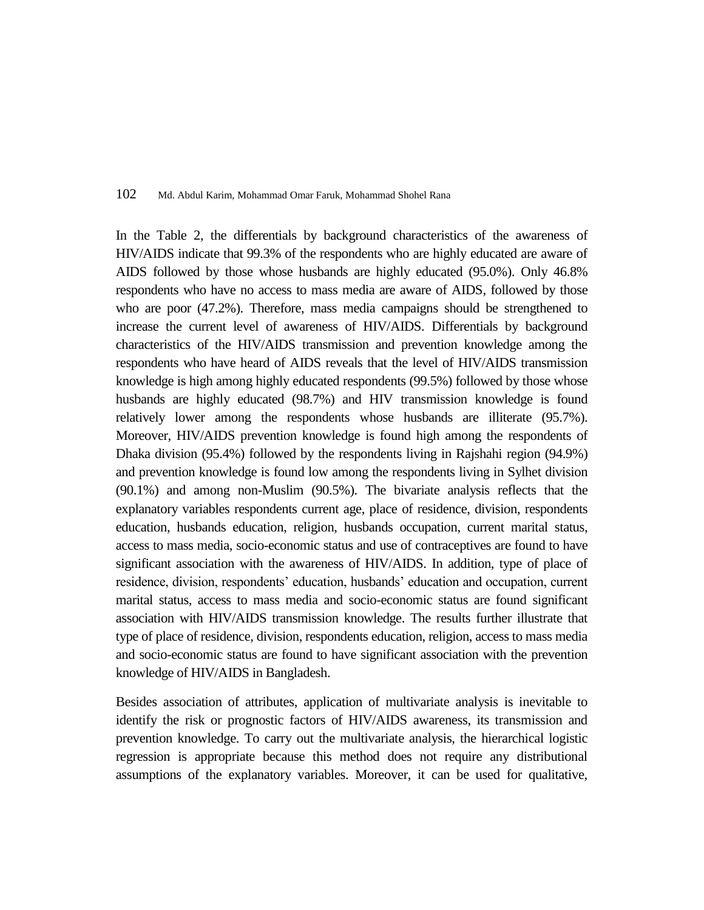In the Table 2, the differentials by background characteristics of the awareness of HIV/AIDS indicate that 99.3% of the respondents who are highly educated are aware of AIDS followed by those whose husbands are highly educated (95.0%). Only 46.8% respondents who have no access to mass media are aware of AIDS, followed by those who are poor (47.2%). Therefore, mass media campaigns should be strengthened to increase the current level of awareness of HIV/AIDS. Differentials by background characteristics of the HIV/AIDS transmission and prevention knowledge among the respondents who have heard of AIDS reveals that the level of HIV/AIDS transmission knowledge is high among highly educated respondents (99.5%) followed by those whose husbands are highly educated (98.7%) and HIV transmission knowledge is found relatively lower among the respondents whose husbands are illiterate (95.7%). Moreover, HIV/AIDS prevention knowledge is found high among the respondents of Dhaka division (95.4%) followed by the respondents living in Rajshahi region (94.9%) and prevention knowledge is found low among the respondents living in Sylhet division (90.1%) and among non-Muslim (90.5%). The bivariate analysis reflects that the explanatory variables respondents current age, place of residence, division, respondents education, husbands education, religion, husbands occupation, current marital status, access to mass media, socio-economic status and use of contraceptives are found to have significant association with the awareness of HIV/AIDS. In addition, type of place of residence, division, respondents' education, husbands' education and occupation, current marital status, access to mass media and socio-economic status are found significant association with HIV/AIDS transmission knowledge. The results further illustrate that type of place of residence, division, respondents education, religion, access to mass media and socio-economic status are found to have significant association with the prevention knowledge of HIV/AIDS in Bangladesh.

Besides association of attributes, application of multivariate analysis is inevitable to identify the risk or prognostic factors of HIV/AIDS awareness, its transmission and prevention knowledge. To carry out the multivariate analysis, the hierarchical logistic regression is appropriate because this method does not require any distributional assumptions of the explanatory variables. Moreover, it can be used for qualitative,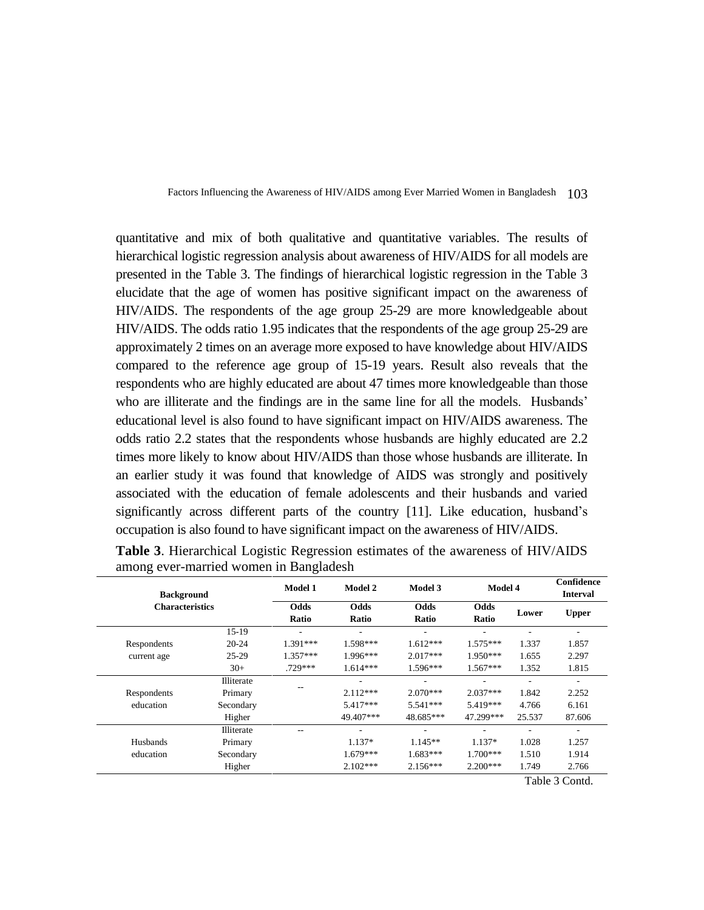quantitative and mix of both qualitative and quantitative variables. The results of hierarchical logistic regression analysis about awareness of HIV/AIDS for all models are presented in the Table 3. The findings of hierarchical logistic regression in the Table 3 elucidate that the age of women has positive significant impact on the awareness of HIV/AIDS. The respondents of the age group 25-29 are more knowledgeable about HIV/AIDS. The odds ratio 1.95 indicates that the respondents of the age group 25-29 are approximately 2 times on an average more exposed to have knowledge about HIV/AIDS compared to the reference age group of 15-19 years. Result also reveals that the respondents who are highly educated are about 47 times more knowledgeable than those who are illiterate and the findings are in the same line for all the models. Husbands' educational level is also found to have significant impact on HIV/AIDS awareness. The odds ratio 2.2 states that the respondents whose husbands are highly educated are 2.2 times more likely to know about HIV/AIDS than those whose husbands are illiterate. In an earlier study it was found that knowledge of AIDS was strongly and positively associated with the education of female adolescents and their husbands and varied significantly across different parts of the country [11]. Like education, husband's occupation is also found to have significant impact on the awareness of HIV/AIDS.

| <b>Background</b>      |            | <b>Model 1</b> | <b>Model 2</b> | <b>Model 3</b>           | Model 4       |        | Confidence<br><b>Interval</b> |
|------------------------|------------|----------------|----------------|--------------------------|---------------|--------|-------------------------------|
| <b>Characteristics</b> |            | Odds<br>Ratio  | Odds<br>Ratio  | Odds<br>Ratio            | Odds<br>Ratio | Lower  | <b>Upper</b>                  |
|                        | 15-19      |                | ٠              | ٠                        |               | ٠      | ٠                             |
| Respondents            | $20 - 24$  | $1.391***$     | 1.598***       | $1.612***$               | $1.575***$    | 1.337  | 1.857                         |
| current age            | $25-29$    | $1.357***$     | $1.996***$     | $2.017***$               | $1.950***$    | 1.655  | 2.297                         |
|                        | $30+$      | .729 ***       | $1.614***$     | $1.596***$               | $1.567***$    | 1.352  | 1.815                         |
|                        | Illiterate |                | ٠              | ٠                        |               | ٠      | ٠                             |
| Respondents            | Primary    |                | $2.112***$     | $2.070***$               | $2.037***$    | 1.842  | 2.252                         |
| education              | Secondary  |                | $5.417***$     | $5.541***$               | 5.419***      | 4.766  | 6.161                         |
|                        | Higher     |                | 49.407***      | 48.685***                | 47.299***     | 25.537 | 87.606                        |
|                        | Illiterate |                |                | $\overline{\phantom{a}}$ |               |        | ٠                             |
| Husbands               | Primary    |                | $1.137*$       | $1.145**$                | $1.137*$      | 1.028  | 1.257                         |
| education              | Secondary  |                | $1.679***$     | $1.683***$               | $1.700***$    | 1.510  | 1.914                         |
|                        | Higher     |                | $2.102***$     | $2.156***$               | $2.200***$    | 1.749  | 2.766                         |
|                        |            |                |                |                          |               |        | T: 1.1.2 C1                   |

**Table 3**. Hierarchical Logistic Regression estimates of the awareness of HIV/AIDS among ever-married women in Bangladesh

Table 3 Contd.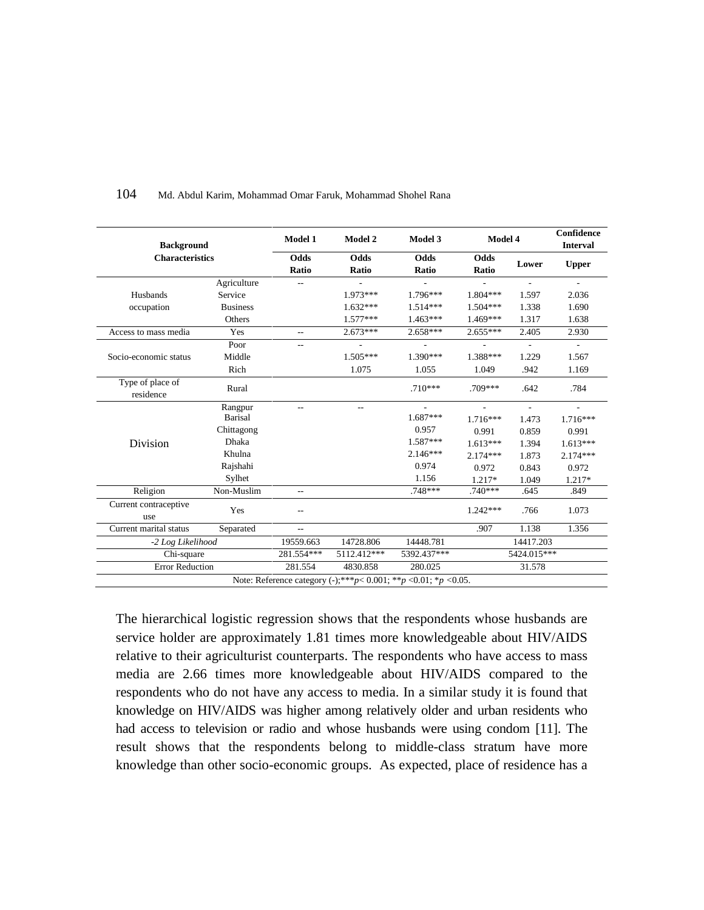| <b>Background</b>             |                 | Model 1                  | <b>Model 2</b> | Model 3                                                                    | Model 4       |                          | Confidence<br><b>Interval</b> |
|-------------------------------|-----------------|--------------------------|----------------|----------------------------------------------------------------------------|---------------|--------------------------|-------------------------------|
| <b>Characteristics</b>        |                 | Odds<br>Ratio            | Odds<br>Ratio  | Odds<br>Ratio                                                              | Odds<br>Ratio | Lower                    | <b>Upper</b>                  |
|                               | Agriculture     |                          |                |                                                                            |               | $\overline{\phantom{a}}$ | $\overline{\phantom{a}}$      |
| Husbands                      | Service         |                          | 1.973 ***      | $1.796***$                                                                 | $1.804***$    | 1.597                    | 2.036                         |
| occupation                    | <b>Business</b> |                          | $1.632***$     | $1.514***$                                                                 | $1.504***$    | 1.338                    | 1.690                         |
|                               | Others          |                          | $1.577***$     | $1.463***$                                                                 | $1.469***$    | 1.317                    | 1.638                         |
| Access to mass media          | Yes             | $-$                      | $2.673***$     | $2.658***$                                                                 | $2.655***$    | 2.405                    | 2.930                         |
|                               | Poor            |                          |                |                                                                            |               |                          | $\overline{\phantom{a}}$      |
| Socio-economic status         | Middle          |                          | $1.505***$     | $1.390***$                                                                 | 1.388***      | 1.229                    | 1.567                         |
|                               | Rich            |                          | 1.075          | 1.055                                                                      | 1.049         | .942                     | 1.169                         |
| Type of place of<br>residence | Rural           |                          |                | $.710***$                                                                  | $.709***$     | .642                     | .784                          |
|                               | Rangpur         |                          | $\overline{a}$ |                                                                            |               | $\overline{\phantom{a}}$ | $\overline{a}$                |
|                               | Barisal         |                          |                | $1.687***$                                                                 | $1.716***$    | 1.473                    | $1.716***$                    |
|                               | Chittagong      |                          |                | 0.957                                                                      | 0.991         | 0.859                    | 0.991                         |
| Division                      | <b>Dhaka</b>    |                          |                | $1.587***$                                                                 | $1.613***$    | 1.394                    | $1.613***$                    |
|                               | Khulna          |                          |                | $2.146***$                                                                 | $2.174***$    | 1.873                    | $2.174***$                    |
|                               | Rajshahi        |                          |                | 0.974                                                                      | 0.972         | 0.843                    | 0.972                         |
|                               | Sylhet          |                          |                | 1.156                                                                      | 1.217*        | 1.049                    | 1.217*                        |
| Religion                      | Non-Muslim      | $-$                      |                | $.748***$                                                                  | $.740***$     | .645                     | .849                          |
| Current contraceptive<br>use  | Yes             |                          |                |                                                                            | $1.242***$    | .766                     | 1.073                         |
| Current marital status        | Separated       | $\overline{\phantom{a}}$ |                |                                                                            | .907          | 1.138                    | 1.356                         |
| -2 Log Likelihood             |                 | 19559.663                | 14728.806      | 14448.781                                                                  |               | 14417.203                |                               |
| Chi-square                    |                 | 281.554***               | 5112.412***    | 5392.437***                                                                |               | 5424.015***              |                               |
| <b>Error Reduction</b>        |                 | 281.554                  | 4830.858       | 280.025                                                                    |               | 31.578                   |                               |
|                               |                 |                          |                | Note: Reference category (-);*** $p$ < 0.001; ** $p$ < 0.01; * $p$ < 0.05. |               |                          |                               |

The hierarchical logistic regression shows that the respondents whose husbands are service holder are approximately 1.81 times more knowledgeable about HIV/AIDS relative to their agriculturist counterparts. The respondents who have access to mass media are 2.66 times more knowledgeable about HIV/AIDS compared to the respondents who do not have any access to media. In a similar study it is found that knowledge on HIV/AIDS was higher among relatively older and urban residents who had access to television or radio and whose husbands were using condom [11]. The result shows that the respondents belong to middle-class stratum have more knowledge than other socio-economic groups. As expected, place of residence has a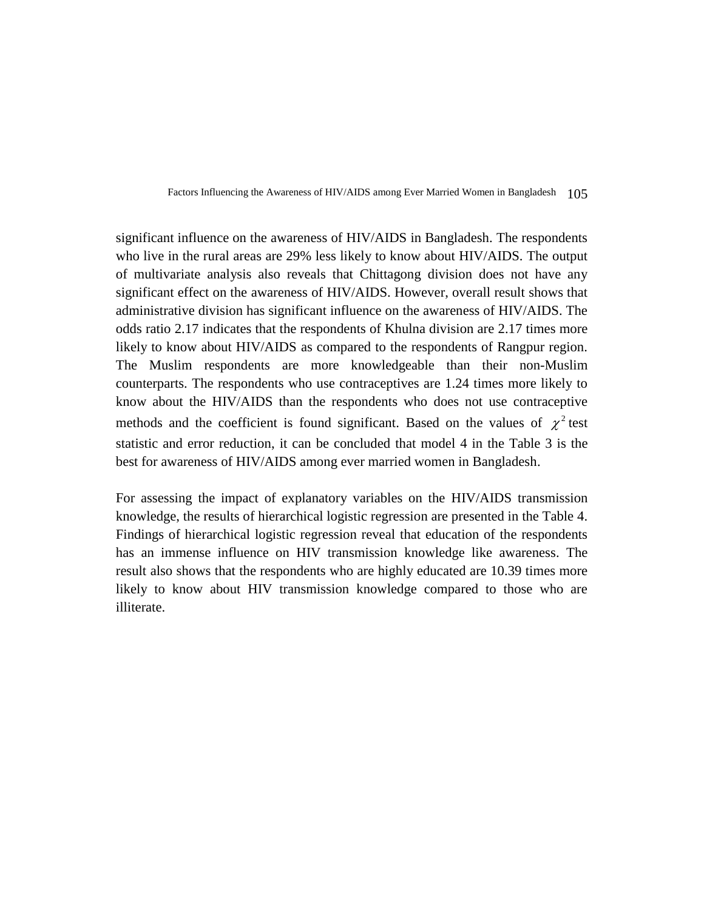significant influence on the awareness of HIV/AIDS in Bangladesh. The respondents who live in the rural areas are 29% less likely to know about HIV/AIDS. The output of multivariate analysis also reveals that Chittagong division does not have any significant effect on the awareness of HIV/AIDS. However, overall result shows that administrative division has significant influence on the awareness of HIV/AIDS. The odds ratio 2.17 indicates that the respondents of Khulna division are 2.17 times more likely to know about HIV/AIDS as compared to the respondents of Rangpur region. The Muslim respondents are more knowledgeable than their non-Muslim counterparts. The respondents who use contraceptives are 1.24 times more likely to know about the HIV/AIDS than the respondents who does not use contraceptive methods and the coefficient is found significant. Based on the values of  $\chi^2$  test statistic and error reduction, it can be concluded that model 4 in the Table 3 is the best for awareness of HIV/AIDS among ever married women in Bangladesh.

For assessing the impact of explanatory variables on the HIV/AIDS transmission knowledge, the results of hierarchical logistic regression are presented in the Table 4. Findings of hierarchical logistic regression reveal that education of the respondents has an immense influence on HIV transmission knowledge like awareness. The result also shows that the respondents who are highly educated are 10.39 times more likely to know about HIV transmission knowledge compared to those who are illiterate.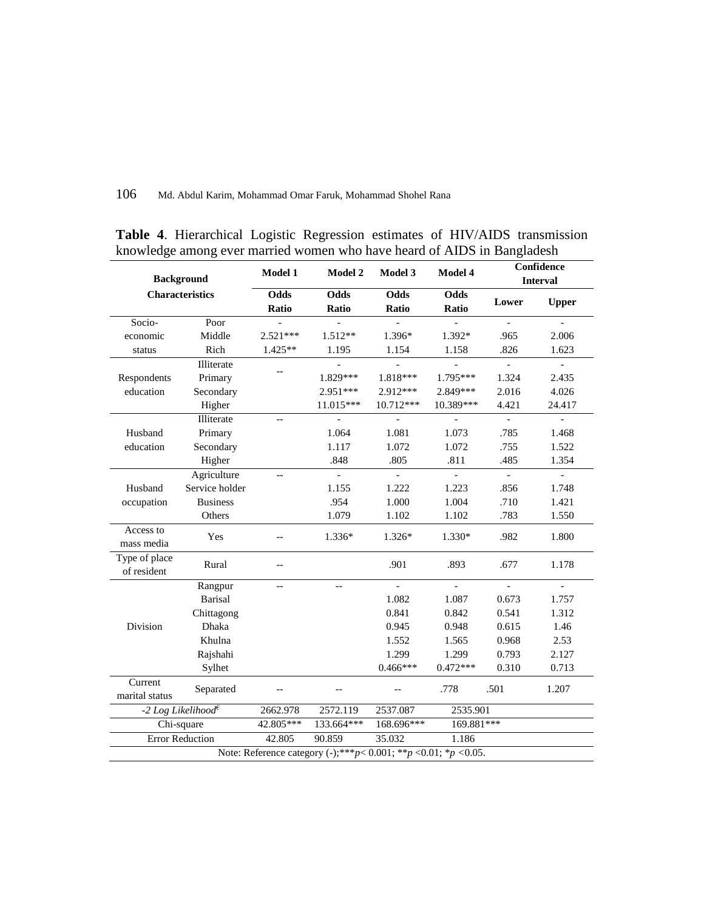| <b>Background</b>            |                                                    | <b>Model 1</b>           | <b>Model 2</b>           | Model 3                   | Model 4                   |                           | Confidence<br><b>Interval</b> |
|------------------------------|----------------------------------------------------|--------------------------|--------------------------|---------------------------|---------------------------|---------------------------|-------------------------------|
|                              | <b>Characteristics</b>                             | Odds<br>Ratio            | <b>Odds</b><br>Ratio     | <b>Odds</b><br>Ratio      | Odds<br>Ratio             | Lower                     | <b>Upper</b>                  |
| Socio-                       | Poor                                               |                          |                          |                           |                           | $\mathbf{r}$              | $\mathbf{r}$                  |
| economic                     | Middle                                             | $2.521***$               | $1.512**$                | 1.396*                    | 1.392*                    | .965                      | 2.006                         |
| status                       | Rich                                               | 1.425**                  | 1.195                    | 1.154                     | 1.158                     | .826                      | 1.623                         |
|                              | Illiterate                                         |                          |                          |                           | $\overline{\phantom{a}}$  | $\overline{\phantom{a}}$  | $\Box$                        |
| Respondents                  | Primary                                            |                          | 1.829***                 | 1.818***                  | 1.795***                  | 1.324                     | 2.435                         |
| education                    | Secondary                                          |                          | $2.951***$               | $2.912***$                | 2.849 ***                 | 2.016                     | 4.026                         |
|                              | Higher                                             |                          | 11.015***                | 10.712***                 | 10.389***                 | 4.421                     | 24.417                        |
|                              | Illiterate                                         | ÷-                       | $\overline{a}$           |                           |                           | $\overline{\phantom{a}}$  | $\mathbb{L}$                  |
| Husband                      | Primary                                            |                          | 1.064                    | 1.081                     | 1.073                     | .785                      | 1.468                         |
| education                    | Secondary                                          |                          | 1.117                    | 1.072                     | 1.072                     | .755                      | 1.522                         |
|                              | Higher                                             |                          | .848                     | .805                      | .811                      | .485                      | 1.354                         |
|                              | Agriculture                                        | $\overline{a}$           | $\equiv$                 | $\mathbb{Z}^{\mathbb{Z}}$ | $\mathbb{Z}^{\mathbb{Z}}$ | $\mathbb{L}^{\mathbb{N}}$ | $\mathbb{L}^+$                |
| Husband                      | Service holder                                     |                          | 1.155                    | 1.222                     | 1.223                     | .856                      | 1.748                         |
| occupation                   | <b>Business</b>                                    |                          | .954                     | 1.000                     | 1.004                     | .710                      | 1.421                         |
|                              | Others                                             |                          | 1.079                    | 1.102                     | 1.102                     | .783                      | 1.550                         |
| Access to<br>mass media      | Yes                                                | --                       | $1.336*$                 | 1.326*                    | $1.330*$                  | .982                      | 1.800                         |
| Type of place<br>of resident | Rural                                              | $\overline{\phantom{a}}$ |                          | .901                      | .893                      | .677                      | 1.178                         |
|                              | Rangpur                                            | $\overline{\phantom{a}}$ | $\overline{\phantom{a}}$ | $\frac{1}{2}$             | $\mathbf{r}$              | $\overline{a}$            | $\blacksquare$                |
|                              | <b>Barisal</b>                                     |                          |                          | 1.082                     | 1.087                     | 0.673                     | 1.757                         |
|                              | Chittagong                                         |                          |                          | 0.841                     | 0.842                     | 0.541                     | 1.312                         |
| Division                     | Dhaka                                              |                          |                          | 0.945                     | 0.948                     | 0.615                     | 1.46                          |
|                              | Khulna                                             |                          |                          | 1.552                     | 1.565                     | 0.968                     | 2.53                          |
|                              | Rajshahi                                           |                          |                          | 1.299                     | 1.299                     | 0.793                     | 2.127                         |
|                              | Sylhet                                             |                          |                          | $0.466***$                | $0.472***$                | 0.310                     | 0.713                         |
| Current<br>marital status    | Separated                                          |                          |                          |                           | .778                      | .501                      | 1.207                         |
|                              | -2 Log Likelihood <sup><math>\epsilon</math></sup> | 2662.978                 | 2572.119                 | 2537.087                  | 2535.901                  |                           |                               |
|                              | Chi-square                                         | 42.805***                | 133.664***               | 168.696***                | 169.881***                |                           |                               |
|                              | <b>Error Reduction</b>                             | 42.805                   | 90.859                   | 35.032                    | 1.186                     |                           |                               |

**Table 4**. Hierarchical Logistic Regression estimates of HIV/AIDS transmission knowledge among ever married women who have heard of AIDS in Bangladesh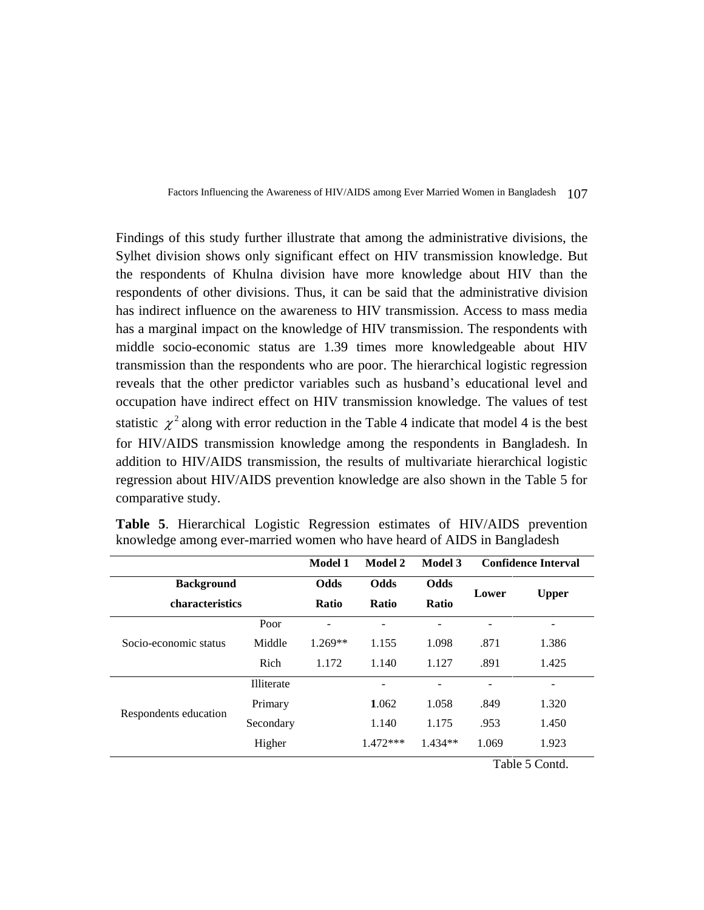Findings of this study further illustrate that among the administrative divisions, the Sylhet division shows only significant effect on HIV transmission knowledge. But the respondents of Khulna division have more knowledge about HIV than the respondents of other divisions. Thus, it can be said that the administrative division has indirect influence on the awareness to HIV transmission. Access to mass media has a marginal impact on the knowledge of HIV transmission. The respondents with middle socio-economic status are 1.39 times more knowledgeable about HIV transmission than the respondents who are poor. The hierarchical logistic regression reveals that the other predictor variables such as husband's educational level and occupation have indirect effect on HIV transmission knowledge. The values of test statistic  $\chi^2$  along with error reduction in the Table 4 indicate that model 4 is the best for HIV/AIDS transmission knowledge among the respondents in Bangladesh. In addition to HIV/AIDS transmission, the results of multivariate hierarchical logistic regression about HIV/AIDS prevention knowledge are also shown in the Table 5 for comparative study.

|                       |            | Model 1      | Model 2      | Model 3      |       | <b>Confidence Interval</b> |
|-----------------------|------------|--------------|--------------|--------------|-------|----------------------------|
| <b>Background</b>     |            | <b>Odds</b>  | <b>Odds</b>  | <b>Odds</b>  | Lower | <b>Upper</b>               |
| characteristics       |            | <b>Ratio</b> | <b>Ratio</b> | <b>Ratio</b> |       |                            |
|                       | Poor       |              | -            |              |       | $\overline{\phantom{a}}$   |
| Socio-economic status | Middle     | $1.269**$    | 1.155        | 1.098        | .871  | 1.386                      |
|                       | Rich       | 1.172        | 1.140        | 1.127        | .891  | 1.425                      |
|                       | Illiterate |              |              | -            |       | $\overline{\phantom{a}}$   |
| Respondents education | Primary    |              | 1.062        | 1.058        | .849  | 1.320                      |
|                       | Secondary  |              | 1.140        | 1.175        | .953  | 1.450                      |
|                       | Higher     |              | $1.472***$   | $1.434**$    | 1.069 | 1.923                      |

**Table 5**. Hierarchical Logistic Regression estimates of HIV/AIDS prevention knowledge among ever-married women who have heard of AIDS in Bangladesh

Table 5 Contd.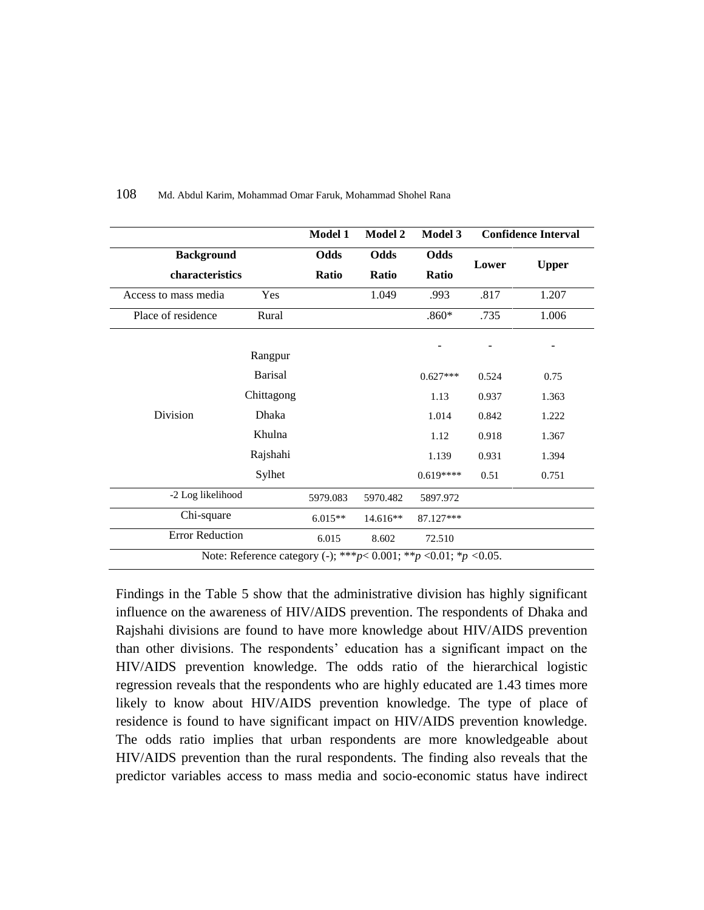|                                      |                                                                             | Model 1              | <b>Model 2</b>       | Model 3              |       | <b>Confidence Interval</b> |
|--------------------------------------|-----------------------------------------------------------------------------|----------------------|----------------------|----------------------|-------|----------------------------|
| <b>Background</b><br>characteristics |                                                                             | Odds<br><b>Ratio</b> | Odds<br><b>Ratio</b> | Odds<br><b>Ratio</b> | Lower | <b>Upper</b>               |
| Access to mass media                 | Yes                                                                         |                      | 1.049                | .993                 | .817  | 1.207                      |
| Place of residence                   | Rural                                                                       |                      |                      | $.860*$              | .735  | 1.006                      |
|                                      | Rangpur                                                                     |                      |                      |                      |       |                            |
|                                      | <b>Barisal</b>                                                              |                      |                      | $0.627***$           | 0.524 | 0.75                       |
|                                      | Chittagong                                                                  |                      |                      | 1.13                 | 0.937 | 1.363                      |
| Division                             | Dhaka                                                                       |                      |                      | 1.014                | 0.842 | 1.222                      |
|                                      | Khulna                                                                      |                      |                      | 1.12                 | 0.918 | 1.367                      |
|                                      | Rajshahi                                                                    |                      |                      | 1.139                | 0.931 | 1.394                      |
|                                      | Sylhet                                                                      |                      |                      | $0.619***$           | 0.51  | 0.751                      |
| -2 Log likelihood                    |                                                                             | 5979.083             | 5970.482             | 5897.972             |       |                            |
| Chi-square                           |                                                                             | $6.015**$            | $14.616**$           | 87.127***            |       |                            |
| <b>Error Reduction</b>               |                                                                             | 6.015                | 8.602                | 72.510               |       |                            |
|                                      | Note: Reference category (-); *** $p$ < 0.001; ** $p$ < 0.01; * $p$ < 0.05. |                      |                      |                      |       |                            |

Findings in the Table 5 show that the administrative division has highly significant influence on the awareness of HIV/AIDS prevention. The respondents of Dhaka and Rajshahi divisions are found to have more knowledge about HIV/AIDS prevention than other divisions. The respondents' education has a significant impact on the HIV/AIDS prevention knowledge. The odds ratio of the hierarchical logistic regression reveals that the respondents who are highly educated are 1.43 times more likely to know about HIV/AIDS prevention knowledge. The type of place of residence is found to have significant impact on HIV/AIDS prevention knowledge. The odds ratio implies that urban respondents are more knowledgeable about HIV/AIDS prevention than the rural respondents. The finding also reveals that the predictor variables access to mass media and socio-economic status have indirect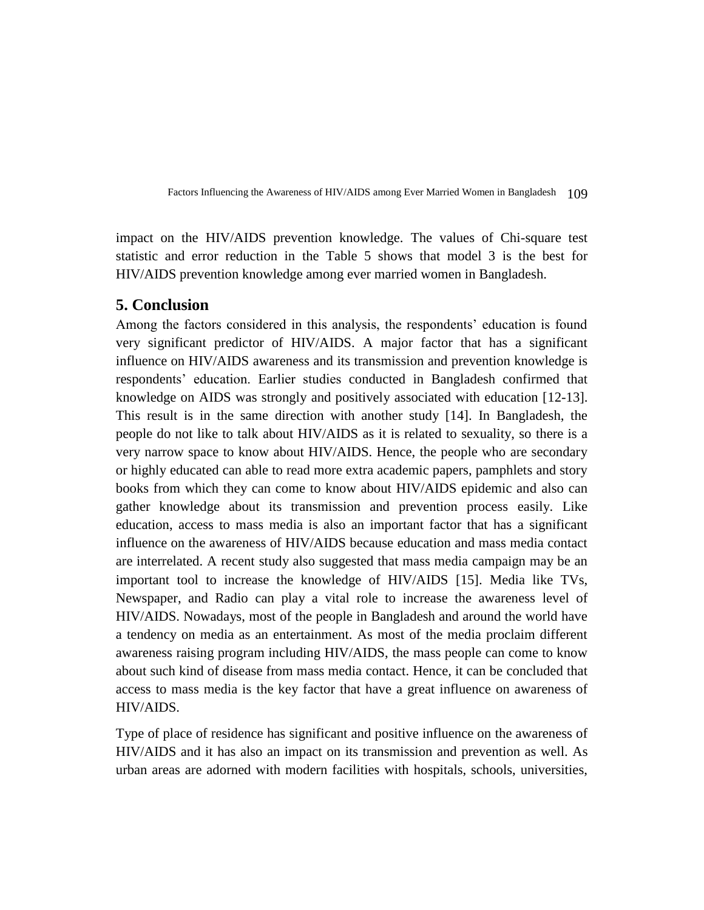impact on the HIV/AIDS prevention knowledge. The values of Chi-square test statistic and error reduction in the Table 5 shows that model 3 is the best for HIV/AIDS prevention knowledge among ever married women in Bangladesh.

### **5. Conclusion**

Among the factors considered in this analysis, the respondents' education is found very significant predictor of HIV/AIDS. A major factor that has a significant influence on HIV/AIDS awareness and its transmission and prevention knowledge is respondents' education. Earlier studies conducted in Bangladesh confirmed that knowledge on AIDS was strongly and positively associated with education [12-13]. This result is in the same direction with another study [14]. In Bangladesh, the people do not like to talk about HIV/AIDS as it is related to sexuality, so there is a very narrow space to know about HIV/AIDS. Hence, the people who are secondary or highly educated can able to read more extra academic papers, pamphlets and story books from which they can come to know about HIV/AIDS epidemic and also can gather knowledge about its transmission and prevention process easily. Like education, access to mass media is also an important factor that has a significant influence on the awareness of HIV/AIDS because education and mass media contact are interrelated. A recent study also suggested that mass media campaign may be an important tool to increase the knowledge of HIV/AIDS [15]. Media like TVs, Newspaper, and Radio can play a vital role to increase the awareness level of HIV/AIDS. Nowadays, most of the people in Bangladesh and around the world have a tendency on media as an entertainment. As most of the media proclaim different awareness raising program including HIV/AIDS, the mass people can come to know about such kind of disease from mass media contact. Hence, it can be concluded that access to mass media is the key factor that have a great influence on awareness of HIV/AIDS.

Type of place of residence has significant and positive influence on the awareness of HIV/AIDS and it has also an impact on its transmission and prevention as well. As urban areas are adorned with modern facilities with hospitals, schools, universities,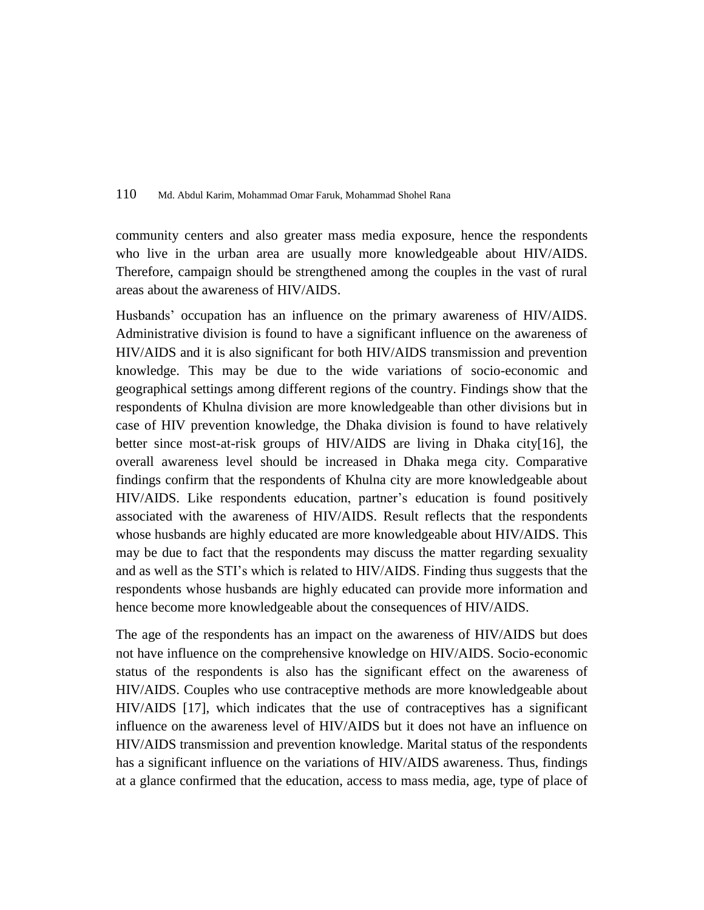community centers and also greater mass media exposure, hence the respondents who live in the urban area are usually more knowledgeable about HIV/AIDS. Therefore, campaign should be strengthened among the couples in the vast of rural areas about the awareness of HIV/AIDS.

Husbands' occupation has an influence on the primary awareness of HIV/AIDS. Administrative division is found to have a significant influence on the awareness of HIV/AIDS and it is also significant for both HIV/AIDS transmission and prevention knowledge. This may be due to the wide variations of socio-economic and geographical settings among different regions of the country. Findings show that the respondents of Khulna division are more knowledgeable than other divisions but in case of HIV prevention knowledge, the Dhaka division is found to have relatively better since most-at-risk groups of HIV/AIDS are living in Dhaka city[16], the overall awareness level should be increased in Dhaka mega city. Comparative findings confirm that the respondents of Khulna city are more knowledgeable about HIV/AIDS. Like respondents education, partner's education is found positively associated with the awareness of HIV/AIDS. Result reflects that the respondents whose husbands are highly educated are more knowledgeable about HIV/AIDS. This may be due to fact that the respondents may discuss the matter regarding sexuality and as well as the STI's which is related to HIV/AIDS. Finding thus suggests that the respondents whose husbands are highly educated can provide more information and hence become more knowledgeable about the consequences of HIV/AIDS.

The age of the respondents has an impact on the awareness of HIV/AIDS but does not have influence on the comprehensive knowledge on HIV/AIDS. Socio-economic status of the respondents is also has the significant effect on the awareness of HIV/AIDS. Couples who use contraceptive methods are more knowledgeable about HIV/AIDS [17], which indicates that the use of contraceptives has a significant influence on the awareness level of HIV/AIDS but it does not have an influence on HIV/AIDS transmission and prevention knowledge. Marital status of the respondents has a significant influence on the variations of HIV/AIDS awareness. Thus, findings at a glance confirmed that the education, access to mass media, age, type of place of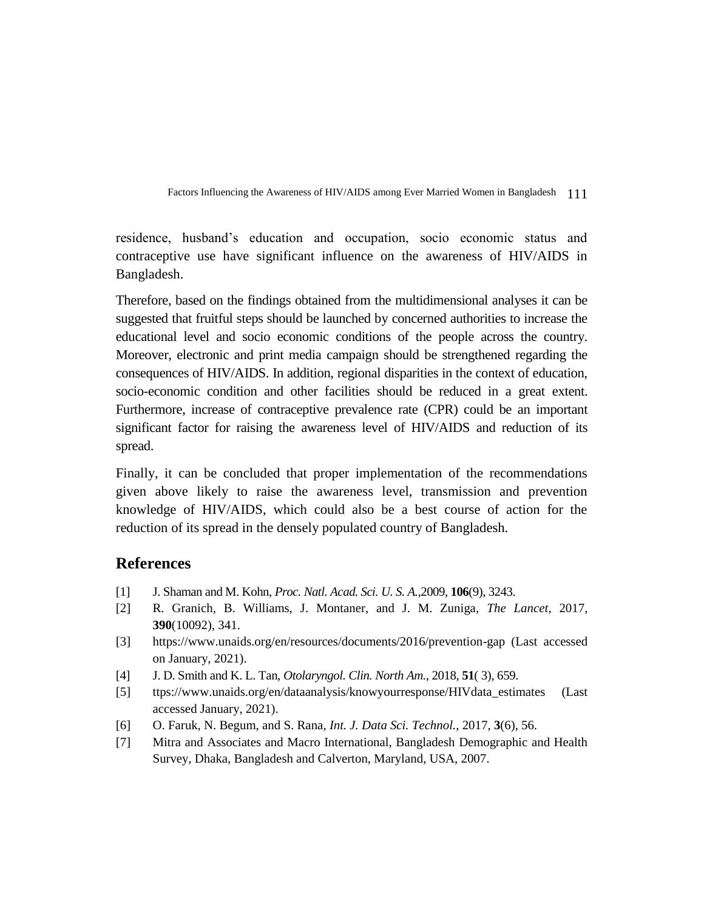residence, husband's education and occupation, socio economic status and contraceptive use have significant influence on the awareness of HIV/AIDS in Bangladesh.

Therefore, based on the findings obtained from the multidimensional analyses it can be suggested that fruitful steps should be launched by concerned authorities to increase the educational level and socio economic conditions of the people across the country. Moreover, electronic and print media campaign should be strengthened regarding the consequences of HIV/AIDS. In addition, regional disparities in the context of education, socio-economic condition and other facilities should be reduced in a great extent. Furthermore, increase of contraceptive prevalence rate (CPR) could be an important significant factor for raising the awareness level of HIV/AIDS and reduction of its spread.

Finally, it can be concluded that proper implementation of the recommendations given above likely to raise the awareness level, transmission and prevention knowledge of HIV/AIDS, which could also be a best course of action for the reduction of its spread in the densely populated country of Bangladesh.

# **References**

- [1] J. Shaman and M. Kohn, *Proc. Natl. Acad. Sci. U. S. A.*,2009, **106**(9), 3243.
- [2] R. Granich, B. Williams, J. Montaner, and J. M. Zuniga, *The Lancet*, 2017, **390**(10092), 341.
- [3] https://www.unaids.org/en/resources/documents/2016/prevention-gap (Last accessed on January, 2021).
- [4] J. D. Smith and K. L. Tan, *Otolaryngol. Clin. North Am.*, 2018, **51**( 3), 659.
- [5] ttps://www.unaids.org/en/dataanalysis/knowyourresponse/HIVdata\_estimates (Last accessed January, 2021).
- [6] O. Faruk, N. Begum, and S. Rana, *Int. J. Data Sci. Technol.*, 2017, **3**(6), 56.
- [7] Mitra and Associates and Macro International, Bangladesh Demographic and Health Survey, Dhaka, Bangladesh and Calverton, Maryland, USA, 2007.